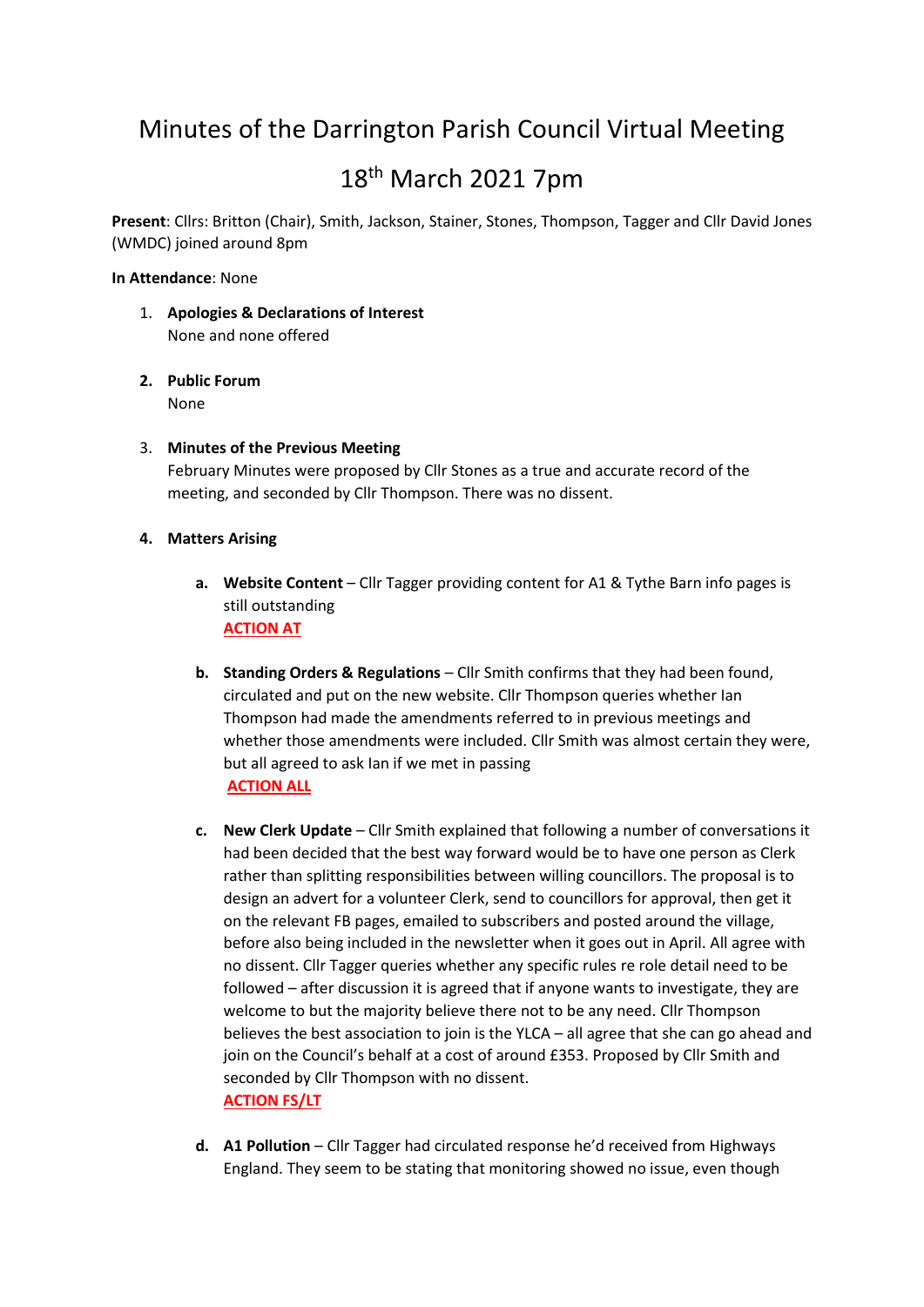# Minutes of the Darrington Parish Council Virtual Meeting

# 18th March 2021 7pm

**Present**: Cllrs: Britton (Chair), Smith, Jackson, Stainer, Stones, Thompson, Tagger and Cllr David Jones (WMDC) joined around 8pm

# **In Attendance**: None

- 1. **Apologies & Declarations of Interest** None and none offered
- **2. Public Forum** None
- 3. **Minutes of the Previous Meeting** February Minutes were proposed by Cllr Stones as a true and accurate record of the meeting, and seconded by Cllr Thompson. There was no dissent.
- **4. Matters Arising**
	- **a. Website Content** Cllr Tagger providing content for A1 & Tythe Barn info pages is still outstanding **ACTION AT**
	- **b. Standing Orders & Regulations** Cllr Smith confirms that they had been found, circulated and put on the new website. Cllr Thompson queries whether Ian Thompson had made the amendments referred to in previous meetings and whether those amendments were included. Cllr Smith was almost certain they were, but all agreed to ask Ian if we met in passing **ACTION ALL**
	- **c. New Clerk Update** Cllr Smith explained that following a number of conversations it had been decided that the best way forward would be to have one person as Clerk rather than splitting responsibilities between willing councillors. The proposal is to design an advert for a volunteer Clerk, send to councillors for approval, then get it on the relevant FB pages, emailed to subscribers and posted around the village, before also being included in the newsletter when it goes out in April. All agree with no dissent. Cllr Tagger queries whether any specific rules re role detail need to be followed – after discussion it is agreed that if anyone wants to investigate, they are welcome to but the majority believe there not to be any need. Cllr Thompson believes the best association to join is the YLCA – all agree that she can go ahead and join on the Council's behalf at a cost of around £353. Proposed by Cllr Smith and seconded by Cllr Thompson with no dissent. **ACTION FS/LT**
	- **d. A1 Pollution** Cllr Tagger had circulated response he'd received from Highways England. They seem to be stating that monitoring showed no issue, even though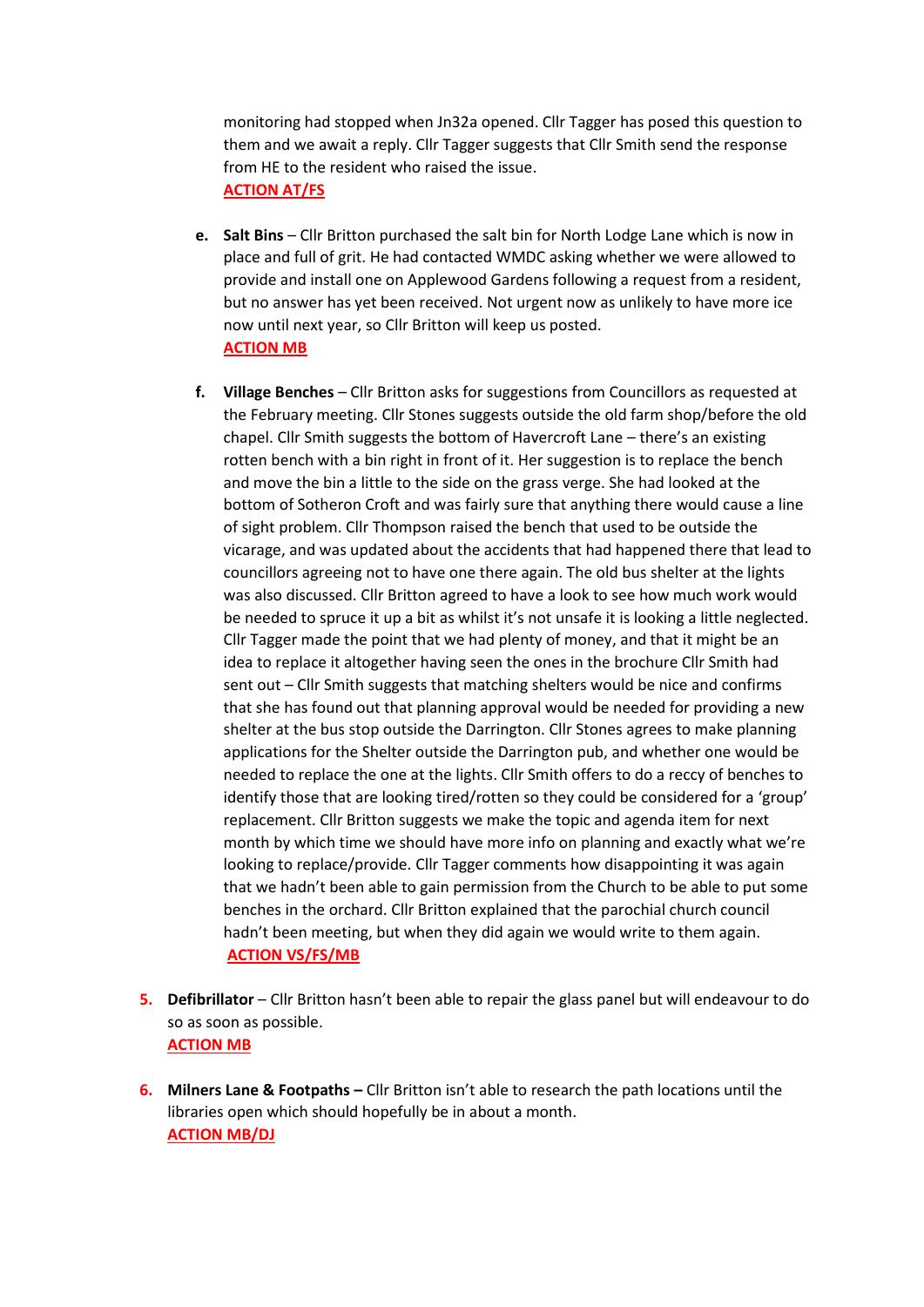monitoring had stopped when Jn32a opened. Cllr Tagger has posed this question to them and we await a reply. Cllr Tagger suggests that Cllr Smith send the response from HE to the resident who raised the issue. **ACTION AT/FS**

- **e. Salt Bins** Cllr Britton purchased the salt bin for North Lodge Lane which is now in place and full of grit. He had contacted WMDC asking whether we were allowed to provide and install one on Applewood Gardens following a request from a resident, but no answer has yet been received. Not urgent now as unlikely to have more ice now until next year, so Cllr Britton will keep us posted. **ACTION MB**
- **f. Village Benches** Cllr Britton asks for suggestions from Councillors as requested at the February meeting. Cllr Stones suggests outside the old farm shop/before the old chapel. Cllr Smith suggests the bottom of Havercroft Lane – there's an existing rotten bench with a bin right in front of it. Her suggestion is to replace the bench and move the bin a little to the side on the grass verge. She had looked at the bottom of Sotheron Croft and was fairly sure that anything there would cause a line of sight problem. Cllr Thompson raised the bench that used to be outside the vicarage, and was updated about the accidents that had happened there that lead to councillors agreeing not to have one there again. The old bus shelter at the lights was also discussed. Cllr Britton agreed to have a look to see how much work would be needed to spruce it up a bit as whilst it's not unsafe it is looking a little neglected. Cllr Tagger made the point that we had plenty of money, and that it might be an idea to replace it altogether having seen the ones in the brochure Cllr Smith had sent out – Cllr Smith suggests that matching shelters would be nice and confirms that she has found out that planning approval would be needed for providing a new shelter at the bus stop outside the Darrington. Cllr Stones agrees to make planning applications for the Shelter outside the Darrington pub, and whether one would be needed to replace the one at the lights. Cllr Smith offers to do a reccy of benches to identify those that are looking tired/rotten so they could be considered for a 'group' replacement. Cllr Britton suggests we make the topic and agenda item for next month by which time we should have more info on planning and exactly what we're looking to replace/provide. Cllr Tagger comments how disappointing it was again that we hadn't been able to gain permission from the Church to be able to put some benches in the orchard. Cllr Britton explained that the parochial church council hadn't been meeting, but when they did again we would write to them again. **ACTION VS/FS/MB**
- **5. Defibrillator** Cllr Britton hasn't been able to repair the glass panel but will endeavour to do so as soon as possible. **ACTION MB**
- **6. Milners Lane & Footpaths –** Cllr Britton isn't able to research the path locations until the libraries open which should hopefully be in about a month. **ACTION MB/DJ**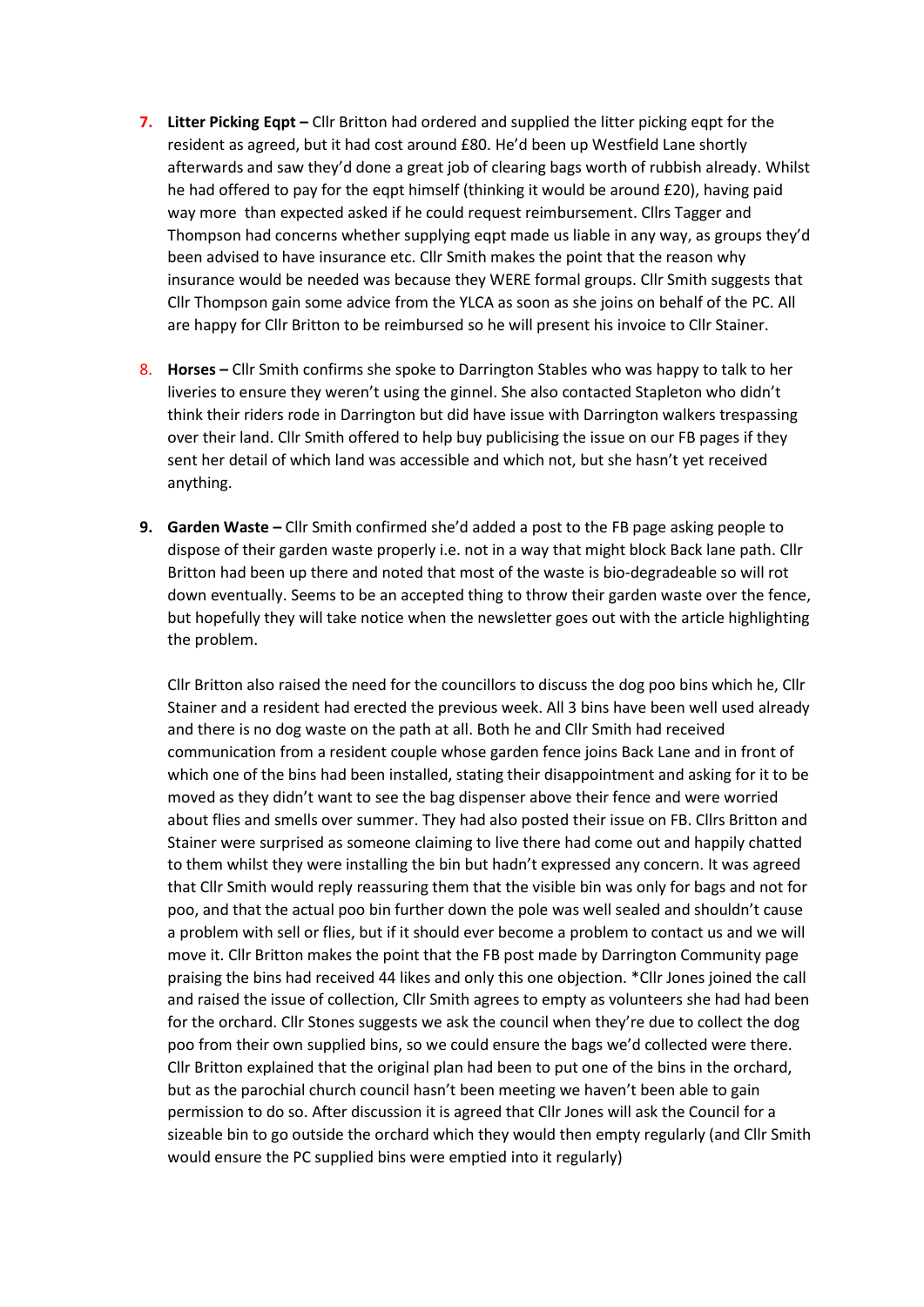- **7. Litter Picking Eqpt –** Cllr Britton had ordered and supplied the litter picking eqpt for the resident as agreed, but it had cost around £80. He'd been up Westfield Lane shortly afterwards and saw they'd done a great job of clearing bags worth of rubbish already. Whilst he had offered to pay for the eqpt himself (thinking it would be around £20), having paid way more than expected asked if he could request reimbursement. Cllrs Tagger and Thompson had concerns whether supplying eqpt made us liable in any way, as groups they'd been advised to have insurance etc. Cllr Smith makes the point that the reason why insurance would be needed was because they WERE formal groups. Cllr Smith suggests that Cllr Thompson gain some advice from the YLCA as soon as she joins on behalf of the PC. All are happy for Cllr Britton to be reimbursed so he will present his invoice to Cllr Stainer.
- 8. **Horses –** Cllr Smith confirms she spoke to Darrington Stables who was happy to talk to her liveries to ensure they weren't using the ginnel. She also contacted Stapleton who didn't think their riders rode in Darrington but did have issue with Darrington walkers trespassing over their land. Cllr Smith offered to help buy publicising the issue on our FB pages if they sent her detail of which land was accessible and which not, but she hasn't yet received anything.
- **9. Garden Waste –** Cllr Smith confirmed she'd added a post to the FB page asking people to dispose of their garden waste properly i.e. not in a way that might block Back lane path. Cllr Britton had been up there and noted that most of the waste is bio-degradeable so will rot down eventually. Seems to be an accepted thing to throw their garden waste over the fence, but hopefully they will take notice when the newsletter goes out with the article highlighting the problem.

Cllr Britton also raised the need for the councillors to discuss the dog poo bins which he, Cllr Stainer and a resident had erected the previous week. All 3 bins have been well used already and there is no dog waste on the path at all. Both he and Cllr Smith had received communication from a resident couple whose garden fence joins Back Lane and in front of which one of the bins had been installed, stating their disappointment and asking for it to be moved as they didn't want to see the bag dispenser above their fence and were worried about flies and smells over summer. They had also posted their issue on FB. Cllrs Britton and Stainer were surprised as someone claiming to live there had come out and happily chatted to them whilst they were installing the bin but hadn't expressed any concern. It was agreed that Cllr Smith would reply reassuring them that the visible bin was only for bags and not for poo, and that the actual poo bin further down the pole was well sealed and shouldn't cause a problem with sell or flies, but if it should ever become a problem to contact us and we will move it. Cllr Britton makes the point that the FB post made by Darrington Community page praising the bins had received 44 likes and only this one objection. \*Cllr Jones joined the call and raised the issue of collection, Cllr Smith agrees to empty as volunteers she had had been for the orchard. Cllr Stones suggests we ask the council when they're due to collect the dog poo from their own supplied bins, so we could ensure the bags we'd collected were there. Cllr Britton explained that the original plan had been to put one of the bins in the orchard, but as the parochial church council hasn't been meeting we haven't been able to gain permission to do so. After discussion it is agreed that Cllr Jones will ask the Council for a sizeable bin to go outside the orchard which they would then empty regularly (and Cllr Smith would ensure the PC supplied bins were emptied into it regularly)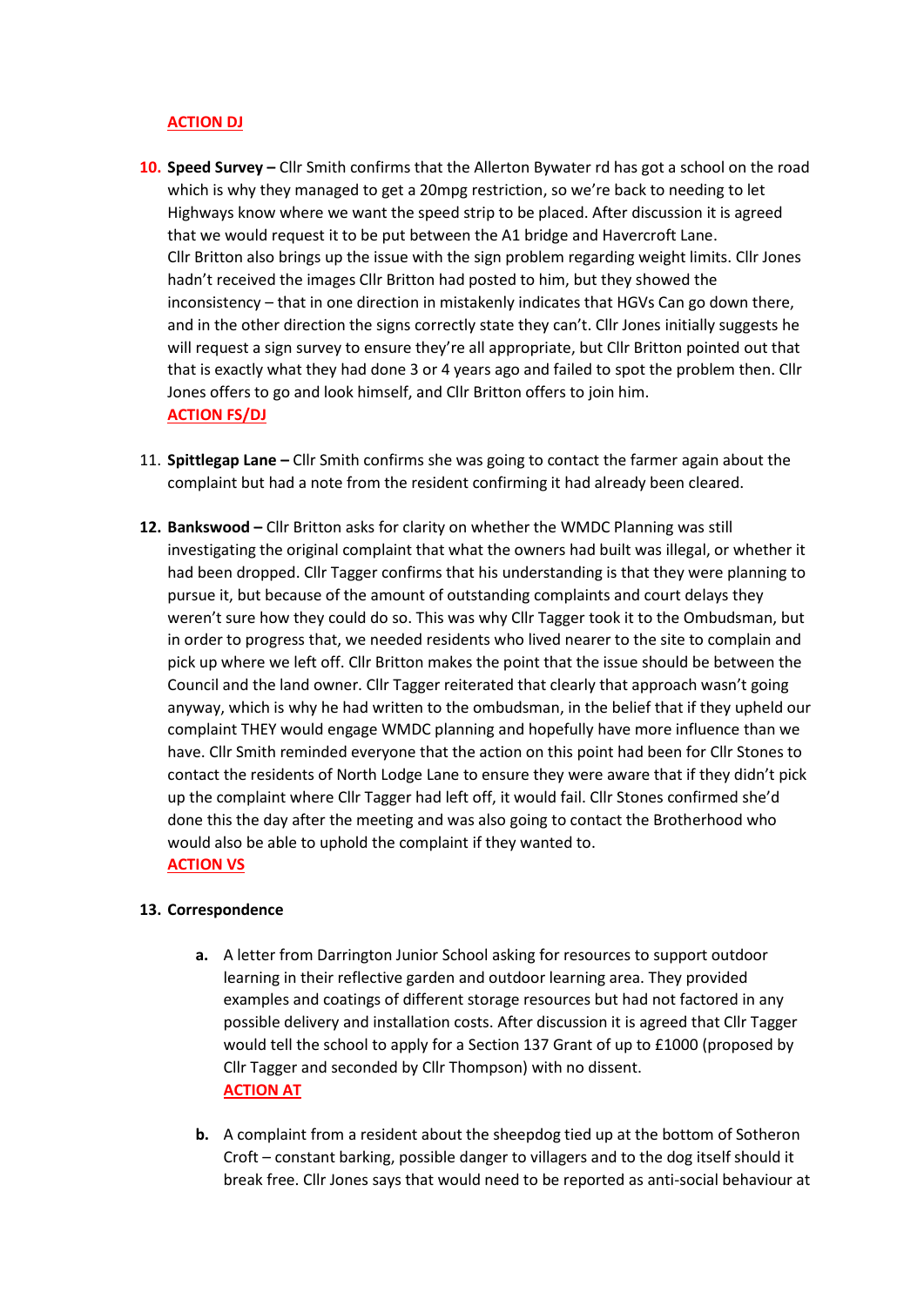# **ACTION DJ**

- **10. Speed Survey –** Cllr Smith confirms that the Allerton Bywater rd has got a school on the road which is why they managed to get a 20mpg restriction, so we're back to needing to let Highways know where we want the speed strip to be placed. After discussion it is agreed that we would request it to be put between the A1 bridge and Havercroft Lane. Cllr Britton also brings up the issue with the sign problem regarding weight limits. Cllr Jones hadn't received the images Cllr Britton had posted to him, but they showed the inconsistency – that in one direction in mistakenly indicates that HGVs Can go down there, and in the other direction the signs correctly state they can't. Cllr Jones initially suggests he will request a sign survey to ensure they're all appropriate, but Cllr Britton pointed out that that is exactly what they had done 3 or 4 years ago and failed to spot the problem then. Cllr Jones offers to go and look himself, and Cllr Britton offers to join him. **ACTION FS/DJ**
- 11. **Spittlegap Lane –** Cllr Smith confirms she was going to contact the farmer again about the complaint but had a note from the resident confirming it had already been cleared.
- **12. Bankswood –** Cllr Britton asks for clarity on whether the WMDC Planning was still investigating the original complaint that what the owners had built was illegal, or whether it had been dropped. Cllr Tagger confirms that his understanding is that they were planning to pursue it, but because of the amount of outstanding complaints and court delays they weren't sure how they could do so. This was why Cllr Tagger took it to the Ombudsman, but in order to progress that, we needed residents who lived nearer to the site to complain and pick up where we left off. Cllr Britton makes the point that the issue should be between the Council and the land owner. Cllr Tagger reiterated that clearly that approach wasn't going anyway, which is why he had written to the ombudsman, in the belief that if they upheld our complaint THEY would engage WMDC planning and hopefully have more influence than we have. Cllr Smith reminded everyone that the action on this point had been for Cllr Stones to contact the residents of North Lodge Lane to ensure they were aware that if they didn't pick up the complaint where Cllr Tagger had left off, it would fail. Cllr Stones confirmed she'd done this the day after the meeting and was also going to contact the Brotherhood who would also be able to uphold the complaint if they wanted to. **ACTION VS**

# **13. Correspondence**

- **a.** A letter from Darrington Junior School asking for resources to support outdoor learning in their reflective garden and outdoor learning area. They provided examples and coatings of different storage resources but had not factored in any possible delivery and installation costs. After discussion it is agreed that Cllr Tagger would tell the school to apply for a Section 137 Grant of up to £1000 (proposed by Cllr Tagger and seconded by Cllr Thompson) with no dissent. **ACTION AT**
- **b.** A complaint from a resident about the sheepdog tied up at the bottom of Sotheron Croft – constant barking, possible danger to villagers and to the dog itself should it break free. Cllr Jones says that would need to be reported as anti-social behaviour at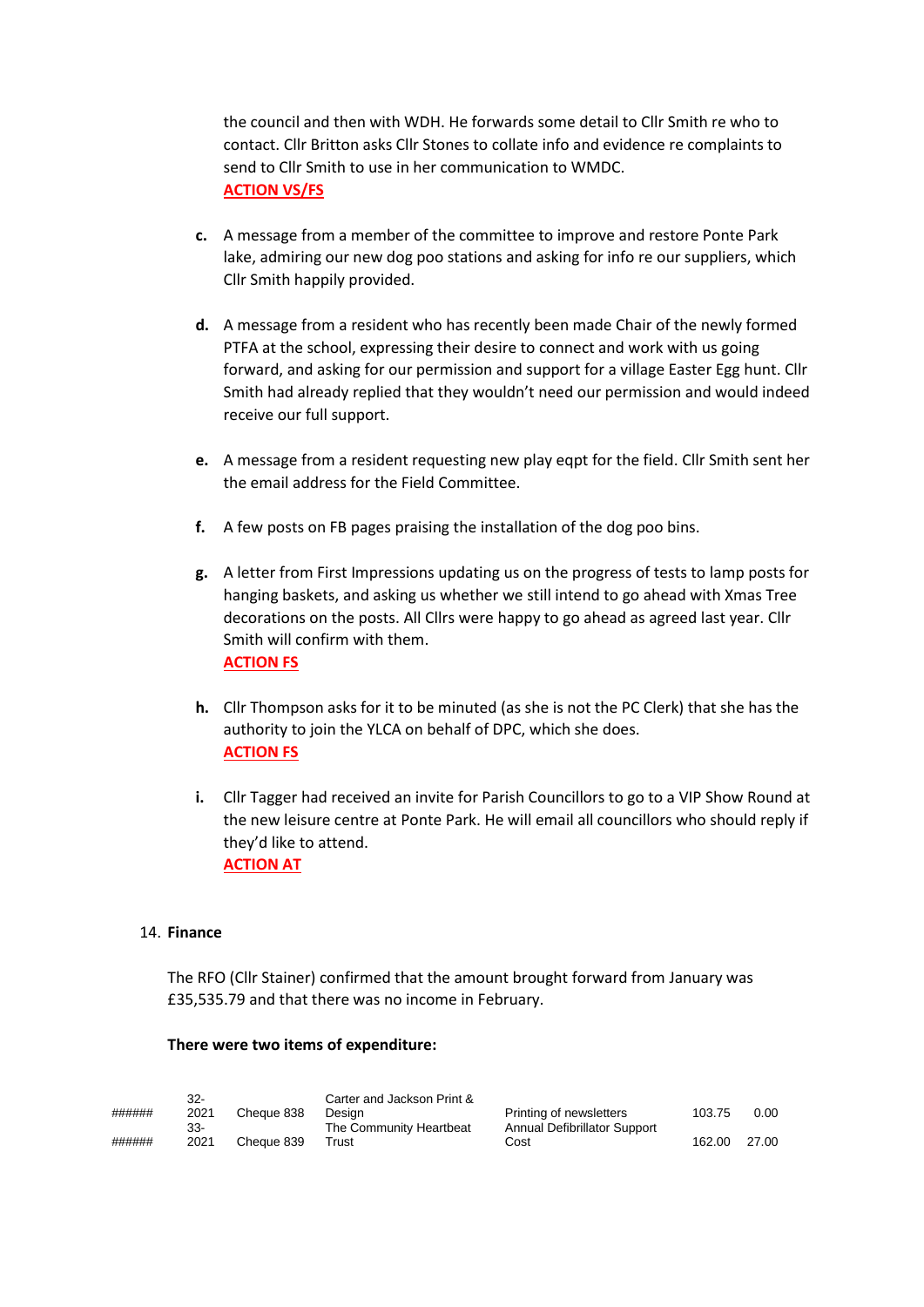the council and then with WDH. He forwards some detail to Cllr Smith re who to contact. Cllr Britton asks Cllr Stones to collate info and evidence re complaints to send to Cllr Smith to use in her communication to WMDC. **ACTION VS/FS**

- **c.** A message from a member of the committee to improve and restore Ponte Park lake, admiring our new dog poo stations and asking for info re our suppliers, which Cllr Smith happily provided.
- **d.** A message from a resident who has recently been made Chair of the newly formed PTFA at the school, expressing their desire to connect and work with us going forward, and asking for our permission and support for a village Easter Egg hunt. Cllr Smith had already replied that they wouldn't need our permission and would indeed receive our full support.
- **e.** A message from a resident requesting new play eqpt for the field. Cllr Smith sent her the email address for the Field Committee.
- **f.** A few posts on FB pages praising the installation of the dog poo bins.
- **g.** A letter from First Impressions updating us on the progress of tests to lamp posts for hanging baskets, and asking us whether we still intend to go ahead with Xmas Tree decorations on the posts. All Cllrs were happy to go ahead as agreed last year. Cllr Smith will confirm with them. **ACTION FS**
- **h.** Cllr Thompson asks for it to be minuted (as she is not the PC Clerk) that she has the authority to join the YLCA on behalf of DPC, which she does. **ACTION FS**
- **i.** Cllr Tagger had received an invite for Parish Councillors to go to a VIP Show Round at the new leisure centre at Ponte Park. He will email all councillors who should reply if they'd like to attend. **ACTION AT**

## 14. **Finance**

The RFO (Cllr Stainer) confirmed that the amount brought forward from January was £35,535.79 and that there was no income in February.

## **There were two items of expenditure:**

| ###### | $32 -$<br>2021<br>33- | Cheque 838 | Carter and Jackson Print &<br>Printing of newsletters<br>Desian<br>The Community Heartbeat | Annual Defibrillator Support | 103.75 | 0.00  |
|--------|-----------------------|------------|--------------------------------------------------------------------------------------------|------------------------------|--------|-------|
| ###### | 2021                  | Cheque 839 | Trust                                                                                      | Cost                         | 162.00 | 27.00 |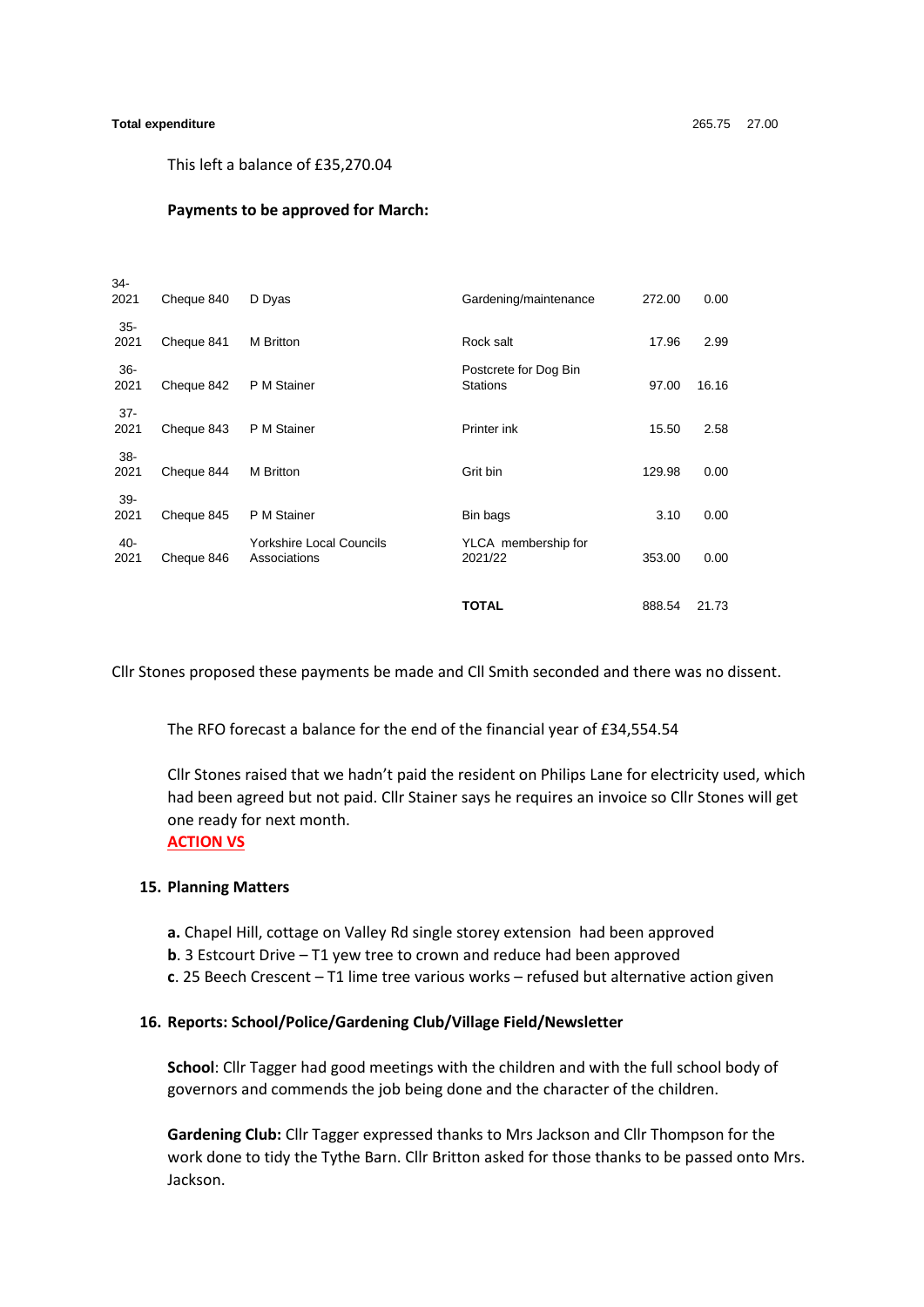#### **Total expenditure** 265.75 27.00

 $34$ 

This left a balance of £35,270.04

#### **Payments to be approved for March:**

| 2021           | Cheque 840 | D Dyas                                          | Gardening/maintenance                    | 272.00 | 0.00  |
|----------------|------------|-------------------------------------------------|------------------------------------------|--------|-------|
| $35 -$<br>2021 | Cheque 841 | M Britton                                       | Rock salt                                | 17.96  | 2.99  |
| $36 -$<br>2021 | Cheque 842 | P M Stainer                                     | Postcrete for Dog Bin<br><b>Stations</b> | 97.00  | 16.16 |
| $37 -$<br>2021 | Cheque 843 | P M Stainer                                     | Printer ink                              | 15.50  | 2.58  |
| 38-<br>2021    | Cheque 844 | M Britton                                       | Grit bin                                 | 129.98 | 0.00  |
| $39 -$<br>2021 | Cheque 845 | P M Stainer                                     | Bin bags                                 | 3.10   | 0.00  |
| $40 -$<br>2021 | Cheque 846 | <b>Yorkshire Local Councils</b><br>Associations | YLCA membership for<br>2021/22           | 353.00 | 0.00  |
|                |            |                                                 | <b>TOTAL</b>                             | 888.54 | 21.73 |

Cllr Stones proposed these payments be made and Cll Smith seconded and there was no dissent.

The RFO forecast a balance for the end of the financial year of £34,554.54

Cllr Stones raised that we hadn't paid the resident on Philips Lane for electricity used, which had been agreed but not paid. Cllr Stainer says he requires an invoice so Cllr Stones will get one ready for next month.

## **ACTION VS**

### **15. Planning Matters**

- **a.** Chapel Hill, cottage on Valley Rd single storey extension had been approved
- **b**. 3 Estcourt Drive T1 yew tree to crown and reduce had been approved
- **c**. 25 Beech Crescent T1 lime tree various works refused but alternative action given

#### **16. Reports: School/Police/Gardening Club/Village Field/Newsletter**

**School**: Cllr Tagger had good meetings with the children and with the full school body of governors and commends the job being done and the character of the children.

**Gardening Club:** Cllr Tagger expressed thanks to Mrs Jackson and Cllr Thompson for the work done to tidy the Tythe Barn. Cllr Britton asked for those thanks to be passed onto Mrs. Jackson.